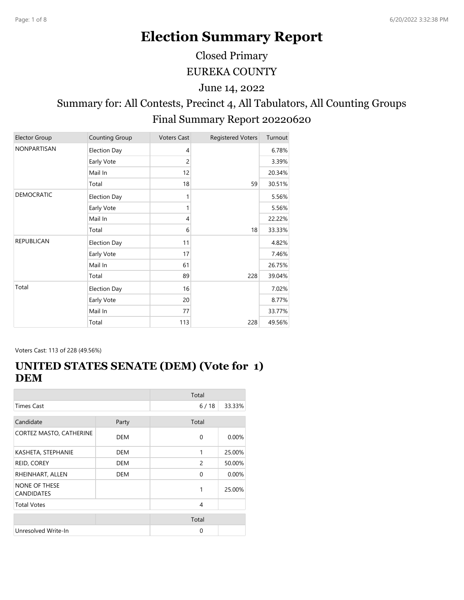# **Election Summary Report**

Closed Primary

EUREKA COUNTY

June 14, 2022

# Summary for: All Contests, Precinct 4, All Tabulators, All Counting Groups Final Summary Report 20220620

| <b>Elector Group</b> | Counting Group      | <b>Voters Cast</b> | <b>Registered Voters</b> | Turnout |
|----------------------|---------------------|--------------------|--------------------------|---------|
| <b>NONPARTISAN</b>   | <b>Election Day</b> | $\overline{4}$     |                          | 6.78%   |
|                      | Early Vote          | 2                  |                          | 3.39%   |
|                      | Mail In             | 12                 |                          | 20.34%  |
|                      | Total               | 18                 | 59                       | 30.51%  |
| <b>DEMOCRATIC</b>    | <b>Election Day</b> | 1                  |                          | 5.56%   |
|                      | Early Vote          | 1                  |                          | 5.56%   |
|                      | Mail In             | $\overline{4}$     |                          | 22.22%  |
|                      | Total               | 6                  | 18                       | 33.33%  |
| <b>REPUBLICAN</b>    | <b>Election Day</b> | 11                 |                          | 4.82%   |
|                      | Early Vote          | 17                 |                          | 7.46%   |
|                      | Mail In             | 61                 |                          | 26.75%  |
|                      | Total               | 89                 | 228                      | 39.04%  |
| Total                | <b>Election Day</b> | 16                 |                          | 7.02%   |
|                      | Early Vote          | 20                 |                          | 8.77%   |
|                      | Mail In             | 77                 |                          | 33.77%  |
|                      | Total               | 113                | 228                      | 49.56%  |

Voters Cast: 113 of 228 (49.56%)

#### **UNITED STATES SENATE (DEM) (Vote for 1) DEM**

|                                           |            | Total |        |
|-------------------------------------------|------------|-------|--------|
| <b>Times Cast</b>                         |            | 6/18  | 33.33% |
| Candidate                                 | Party      | Total |        |
| CORTEZ MASTO, CATHERINE                   | <b>DEM</b> | 0     | 0.00%  |
| KASHETA, STEPHANIE                        | DEM        | 1     | 25.00% |
| REID, COREY                               | DEM        | 2     | 50.00% |
| RHEINHART, ALLEN                          | DEM        | 0     | 0.00%  |
| <b>NONE OF THESE</b><br><b>CANDIDATES</b> |            | 1     | 25.00% |
| <b>Total Votes</b>                        |            | 4     |        |
|                                           |            | Total |        |
| Unresolved Write-In                       |            | 0     |        |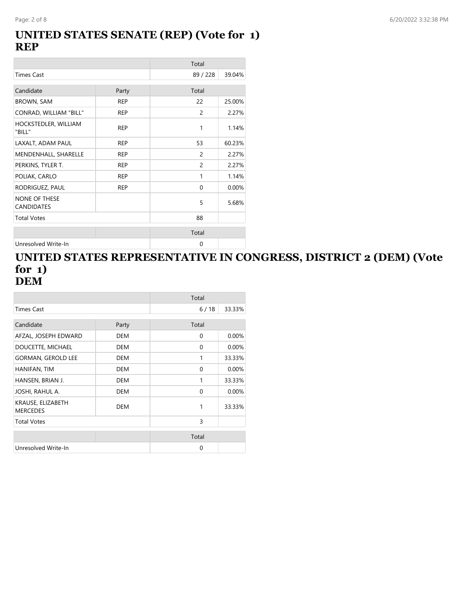#### **UNITED STATES SENATE (REP) (Vote for 1) REP**

|                                           |            | Total          |        |
|-------------------------------------------|------------|----------------|--------|
| <b>Times Cast</b>                         |            | 89 / 228       | 39.04% |
| Candidate                                 | Party      | Total          |        |
| <b>BROWN, SAM</b>                         | <b>REP</b> | 22             | 25.00% |
| CONRAD, WILLIAM "BILL"                    | <b>REP</b> | $\overline{c}$ | 2.27%  |
| HOCKSTEDLER, WILLIAM<br>"BILL"            | <b>REP</b> | 1              | 1.14%  |
| LAXALT, ADAM PAUL                         | <b>REP</b> | 53             | 60.23% |
| MENDENHALL, SHARELLE                      | <b>REP</b> | 2              | 2.27%  |
| PERKINS, TYLER T.                         | <b>REP</b> | $\overline{c}$ | 2.27%  |
| POLIAK, CARLO                             | <b>REP</b> | $\mathbf{1}$   | 1.14%  |
| RODRIGUEZ, PAUL                           | <b>REP</b> | $\Omega$       | 0.00%  |
| <b>NONE OF THESE</b><br><b>CANDIDATES</b> |            | 5              | 5.68%  |
| <b>Total Votes</b>                        |            | 88             |        |
|                                           |            | Total          |        |
| Unresolved Write-In                       |            | 0              |        |

#### **UNITED STATES REPRESENTATIVE IN CONGRESS, DISTRICT 2 (DEM) (Vote for 1) DEM**

|                                      |            | Total |        |
|--------------------------------------|------------|-------|--------|
| Times Cast                           |            | 6/18  | 33.33% |
| Candidate                            | Party      | Total |        |
| AFZAL, JOSEPH EDWARD                 | <b>DEM</b> | 0     | 0.00%  |
| DOUCETTE, MICHAEL                    | <b>DEM</b> | 0     | 0.00%  |
| <b>GORMAN, GEROLD LEE</b>            | <b>DEM</b> | 1     | 33.33% |
| HANIFAN, TIM                         | DEM        | 0     | 0.00%  |
| HANSEN, BRIAN J.                     | <b>DEM</b> | 1     | 33.33% |
| JOSHI, RAHUL A.                      | <b>DEM</b> | 0     | 0.00%  |
| KRAUSE, ELIZABETH<br><b>MERCEDES</b> | <b>DEM</b> | 1     | 33.33% |
| <b>Total Votes</b>                   |            | 3     |        |
|                                      |            | Total |        |
| Unresolved Write-In                  |            | 0     |        |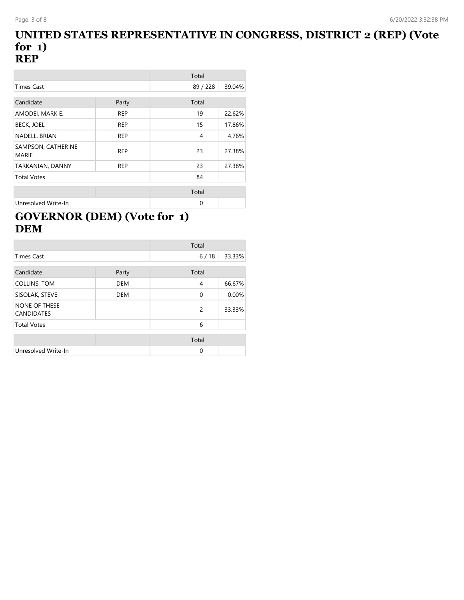#### **UNITED STATES REPRESENTATIVE IN CONGRESS, DISTRICT 2 (REP) (Vote for 1) REP**

|                                    |            | Total    |        |
|------------------------------------|------------|----------|--------|
| <b>Times Cast</b>                  |            | 89 / 228 | 39.04% |
| Candidate                          | Party      | Total    |        |
| AMODEI, MARK E.                    | <b>REP</b> | 19       | 22.62% |
| <b>BECK, JOEL</b>                  | <b>REP</b> | 15       | 17.86% |
| NADELL, BRIAN                      | <b>REP</b> | 4        | 4.76%  |
| SAMPSON, CATHERINE<br><b>MARIE</b> | <b>REP</b> | 23       | 27.38% |
| TARKANIAN, DANNY                   | <b>REP</b> | 23       | 27.38% |
| <b>Total Votes</b>                 |            | 84       |        |
|                                    |            | Total    |        |
| Unresolved Write-In                |            | 0        |        |

# **GOVERNOR (DEM) (Vote for 1) DEM**

|                                    |            | Total    |        |
|------------------------------------|------------|----------|--------|
| <b>Times Cast</b>                  |            | 6/18     | 33.33% |
| Candidate                          | Party      | Total    |        |
| COLLINS, TOM                       | <b>DEM</b> | 4        | 66.67% |
| SISOLAK, STEVE                     | <b>DEM</b> | 0        | 0.00%  |
| NONE OF THESE<br><b>CANDIDATES</b> |            | 2        | 33.33% |
| <b>Total Votes</b>                 |            | 6        |        |
|                                    |            | Total    |        |
| Unresolved Write-In                |            | $\Omega$ |        |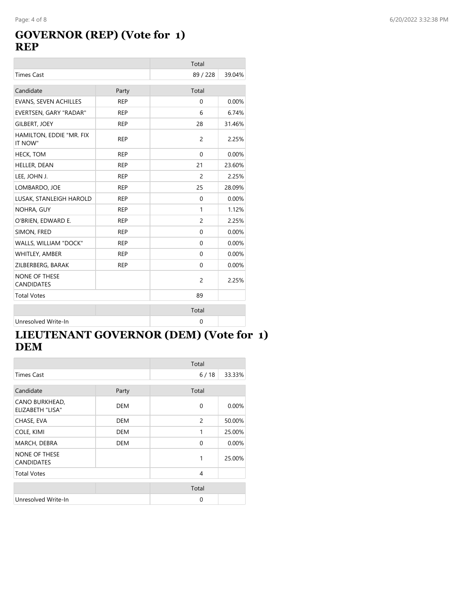# **GOVERNOR (REP) (Vote for 1) REP**

|                                           |            | Total          |        |
|-------------------------------------------|------------|----------------|--------|
| <b>Times Cast</b>                         |            | 89 / 228       | 39.04% |
| Candidate                                 | Party      | Total          |        |
| EVANS, SEVEN ACHILLES                     | <b>REP</b> | 0              | 0.00%  |
| EVERTSEN, GARY "RADAR"                    | <b>REP</b> | 6              | 6.74%  |
| <b>GILBERT, JOEY</b>                      | <b>REP</b> | 28             | 31.46% |
| HAMILTON, EDDIE "MR. FIX<br>IT NOW"       | <b>REP</b> | 2              | 2.25%  |
| <b>HECK, TOM</b>                          | <b>REP</b> | $\Omega$       | 0.00%  |
| HELLER, DEAN                              | <b>REP</b> | 21             | 23.60% |
| LEE, JOHN J.                              | <b>REP</b> | $\overline{c}$ | 2.25%  |
| LOMBARDO, JOE                             | <b>REP</b> | 25             | 28.09% |
| LUSAK, STANLEIGH HAROLD                   | <b>REP</b> | $\Omega$       | 0.00%  |
| NOHRA, GUY                                | <b>REP</b> | $\mathbf{1}$   | 1.12%  |
| O'BRIEN, EDWARD E.                        | <b>REP</b> | 2              | 2.25%  |
| SIMON, FRED                               | <b>REP</b> | 0              | 0.00%  |
| WALLS, WILLIAM "DOCK"                     | <b>REP</b> | 0              | 0.00%  |
| WHITLEY, AMBER                            | <b>REP</b> | 0              | 0.00%  |
| ZILBERBERG, BARAK                         | <b>REP</b> | 0              | 0.00%  |
| <b>NONE OF THESE</b><br><b>CANDIDATES</b> |            | 2              | 2.25%  |
| <b>Total Votes</b>                        |            | 89             |        |
|                                           |            | Total          |        |
| Unresolved Write-In                       |            | 0              |        |

## **LIEUTENANT GOVERNOR (DEM) (Vote for 1) DEM**

|                                           |            | Total          |        |
|-------------------------------------------|------------|----------------|--------|
| Times Cast                                |            | 6/18           | 33.33% |
| Candidate                                 | Party      | Total          |        |
|                                           |            |                |        |
| CANO BURKHEAD,<br><b>ELIZABETH "LISA"</b> | <b>DEM</b> | 0              | 0.00%  |
| CHASE, EVA                                | <b>DEM</b> | $\overline{c}$ | 50.00% |
| COLE, KIMI                                | <b>DEM</b> | 1              | 25.00% |
| MARCH, DEBRA                              | <b>DEM</b> | 0              | 0.00%  |
| NONE OF THESE<br><b>CANDIDATES</b>        |            | 1              | 25.00% |
| <b>Total Votes</b>                        |            | 4              |        |
|                                           |            |                |        |
|                                           |            | Total          |        |
| Unresolved Write-In                       |            | $\Omega$       |        |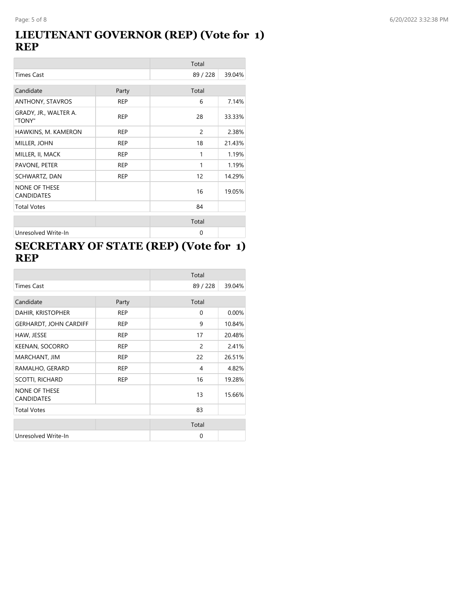#### **LIEUTENANT GOVERNOR (REP) (Vote for 1) REP**

|                                           |            | Total          |        |
|-------------------------------------------|------------|----------------|--------|
| <b>Times Cast</b>                         |            | 89 / 228       | 39.04% |
| Candidate                                 | Party      | Total          |        |
| ANTHONY, STAVROS                          | <b>REP</b> | 6              | 7.14%  |
| GRADY, JR., WALTER A.<br>"TONY"           | <b>REP</b> | 28             | 33.33% |
| HAWKINS, M. KAMERON                       | <b>REP</b> | $\overline{c}$ | 2.38%  |
| MILLER, JOHN                              | <b>REP</b> | 18             | 21.43% |
| MILLER, II, MACK                          | <b>REP</b> | 1              | 1.19%  |
| PAVONE, PETER                             | <b>REP</b> | 1              | 1.19%  |
| SCHWARTZ, DAN                             | <b>REP</b> | 12             | 14.29% |
| <b>NONE OF THESE</b><br><b>CANDIDATES</b> |            | 16             | 19.05% |
| <b>Total Votes</b>                        |            | 84             |        |
|                                           |            | Total          |        |
| Unresolved Write-In                       |            | $\mathbf 0$    |        |

# **SECRETARY OF STATE (REP) (Vote for 1) REP**

|                                    |            | Total    |        |
|------------------------------------|------------|----------|--------|
| <b>Times Cast</b>                  |            | 89 / 228 | 39.04% |
| Candidate                          | Party      | Total    |        |
| DAHIR, KRISTOPHER                  | <b>REP</b> | 0        | 0.00%  |
| <b>GERHARDT, JOHN CARDIFF</b>      | <b>REP</b> | 9        | 10.84% |
| HAW, JESSE                         | <b>REP</b> | 17       | 20.48% |
| KEENAN, SOCORRO                    | <b>REP</b> | 2        | 2.41%  |
| MARCHANT, JIM                      | <b>REP</b> | 22       | 26.51% |
| RAMALHO, GERARD                    | <b>REP</b> | 4        | 4.82%  |
| <b>SCOTTI, RICHARD</b>             | <b>REP</b> | 16       | 19.28% |
| NONE OF THESE<br><b>CANDIDATES</b> |            | 13       | 15.66% |
| <b>Total Votes</b>                 |            | 83       |        |
|                                    |            | Total    |        |
| Unresolved Write-In                |            | $\Omega$ |        |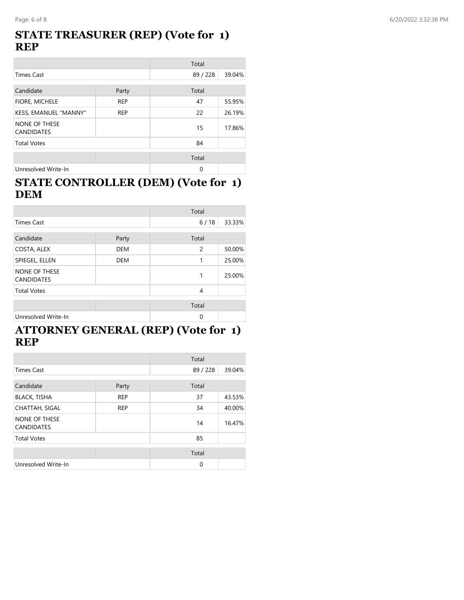#### **STATE TREASURER (REP) (Vote for 1) REP**

|                                           |            | Total  |        |
|-------------------------------------------|------------|--------|--------|
| <b>Times Cast</b>                         |            | 89/228 | 39.04% |
| Candidate                                 | Party      | Total  |        |
| <b>FIORE, MICHELE</b>                     | <b>REP</b> | 47     | 55.95% |
| KESS, EMANUEL "MANNY"                     | <b>REP</b> | 22     | 26.19% |
| <b>NONE OF THESE</b><br><b>CANDIDATES</b> |            | 15     | 17.86% |
| <b>Total Votes</b>                        |            | 84     |        |
|                                           |            | Total  |        |
| Unresolved Write-In                       |            | 0      |        |

#### **STATE CONTROLLER (DEM) (Vote for 1) DEM**

|                                           |            | Total    |        |
|-------------------------------------------|------------|----------|--------|
| <b>Times Cast</b>                         |            | 6/18     | 33.33% |
| Candidate                                 | Party      | Total    |        |
| COSTA, ALEX                               | <b>DEM</b> | 2        | 50.00% |
| SPIEGEL, ELLEN                            | <b>DEM</b> |          | 25.00% |
| <b>NONE OF THESE</b><br><b>CANDIDATES</b> |            |          | 25.00% |
| <b>Total Votes</b>                        |            | 4        |        |
|                                           |            | Total    |        |
| Unresolved Write-In                       |            | $\Omega$ |        |

#### **ATTORNEY GENERAL (REP) (Vote for 1) REP**

|                                    |            | Total       |        |
|------------------------------------|------------|-------------|--------|
| <b>Times Cast</b>                  |            | 89/228      | 39.04% |
| Candidate                          | Party      | Total       |        |
| <b>BLACK, TISHA</b>                | <b>REP</b> | 37          | 43.53% |
| <b>CHATTAH, SIGAL</b>              | <b>REP</b> | 34          | 40.00% |
| NONE OF THESE<br><b>CANDIDATES</b> |            | 14          | 16.47% |
| <b>Total Votes</b>                 |            | 85          |        |
|                                    |            | Total       |        |
| Unresolved Write-In                |            | $\mathbf 0$ |        |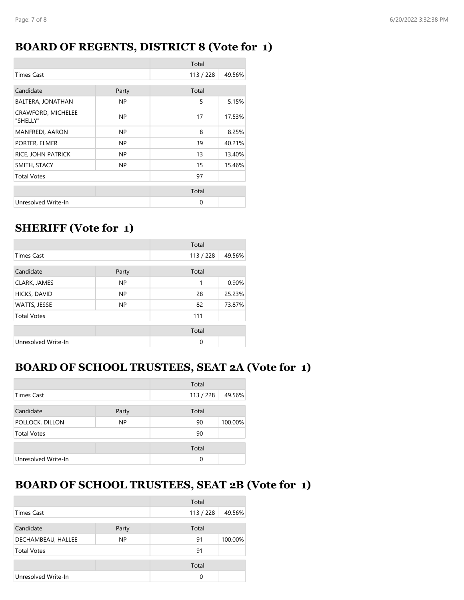#### **BOARD OF REGENTS, DISTRICT 8 (Vote for 1)**

|                                |       | Total     |        |
|--------------------------------|-------|-----------|--------|
| <b>Times Cast</b>              |       | 113 / 228 | 49.56% |
| Candidate                      | Party | Total     |        |
| BALTERA, JONATHAN              | NP.   | 5         | 5.15%  |
| CRAWFORD, MICHELEE<br>"SHELLY" | NP.   | 17        | 17.53% |
| <b>MANFREDI, AARON</b>         | NP.   | 8         | 8.25%  |
| PORTER, ELMER                  | NP.   | 39        | 40.21% |
| RICE, JOHN PATRICK             | NP.   | 13        | 13.40% |
| SMITH, STACY                   | NP.   | 15        | 15.46% |
| <b>Total Votes</b>             |       | 97        |        |
|                                |       | Total     |        |
| Unresolved Write-In            |       | $\Omega$  |        |

# **SHERIFF (Vote for 1)**

|                     |           | Total     |        |
|---------------------|-----------|-----------|--------|
| <b>Times Cast</b>   |           | 113 / 228 | 49.56% |
| Candidate           | Party     | Total     |        |
| CLARK, JAMES        | <b>NP</b> | 1         | 0.90%  |
| HICKS, DAVID        | <b>NP</b> | 28        | 25.23% |
| WATTS, JESSE        | <b>NP</b> | 82        | 73.87% |
| <b>Total Votes</b>  |           | 111       |        |
|                     |           | Total     |        |
| Unresolved Write-In |           | 0         |        |

## **BOARD OF SCHOOL TRUSTEES, SEAT 2A (Vote for 1)**

|                     |       | Total     |         |
|---------------------|-------|-----------|---------|
| <b>Times Cast</b>   |       | 113 / 228 | 49.56%  |
| Candidate           | Party | Total     |         |
| POLLOCK, DILLON     | NP    | 90        | 100.00% |
| <b>Total Votes</b>  |       | 90        |         |
|                     |       | Total     |         |
| Unresolved Write-In |       | $\Omega$  |         |

# **BOARD OF SCHOOL TRUSTEES, SEAT 2B (Vote for 1)**

|                     |           | Total     |         |
|---------------------|-----------|-----------|---------|
| Times Cast          |           | 113 / 228 | 49.56%  |
| Candidate           | Party     | Total     |         |
| DECHAMBEAU, HALLEE  | <b>NP</b> | 91        | 100.00% |
| <b>Total Votes</b>  |           | 91        |         |
|                     |           | Total     |         |
| Unresolved Write-In |           | 0         |         |